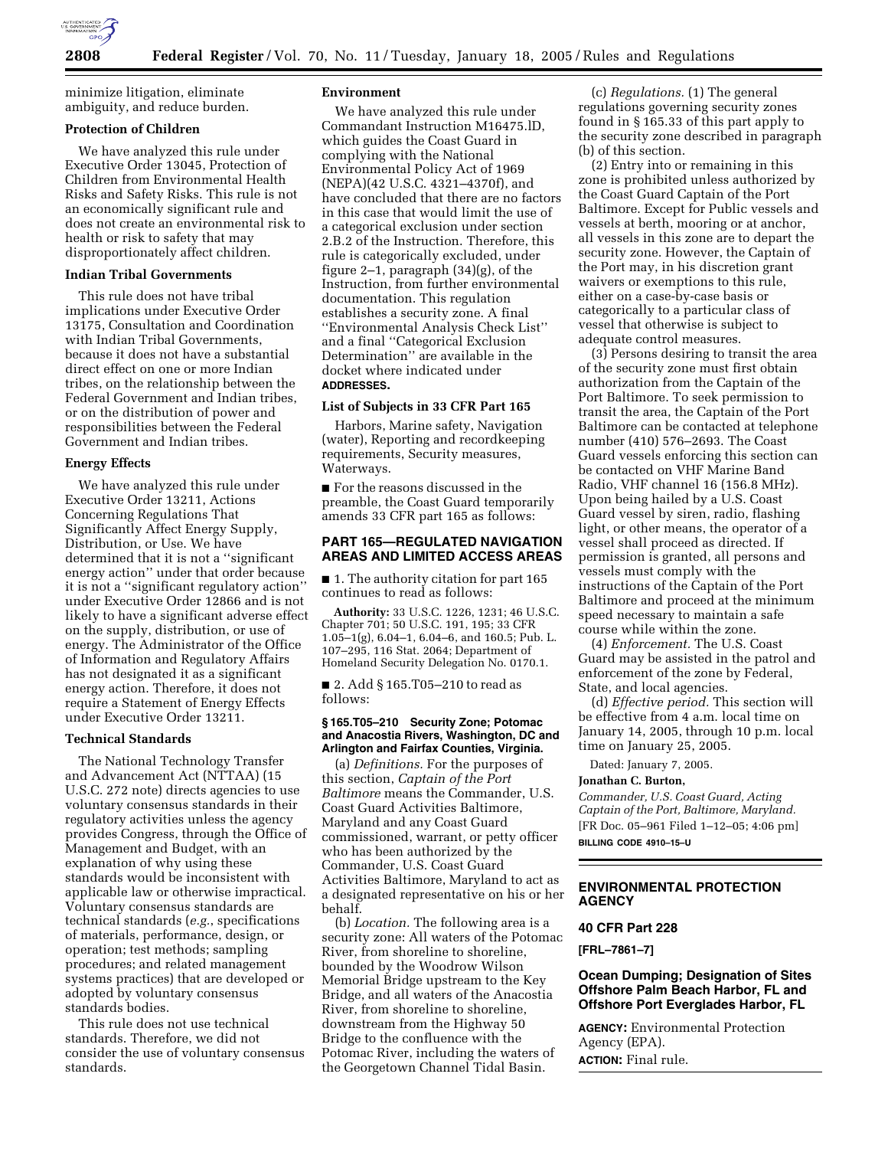

minimize litigation, eliminate ambiguity, and reduce burden.

## **Protection of Children**

We have analyzed this rule under Executive Order 13045, Protection of Children from Environmental Health Risks and Safety Risks. This rule is not an economically significant rule and does not create an environmental risk to health or risk to safety that may disproportionately affect children.

### **Indian Tribal Governments**

This rule does not have tribal implications under Executive Order 13175, Consultation and Coordination with Indian Tribal Governments, because it does not have a substantial direct effect on one or more Indian tribes, on the relationship between the Federal Government and Indian tribes, or on the distribution of power and responsibilities between the Federal Government and Indian tribes.

## **Energy Effects**

We have analyzed this rule under Executive Order 13211, Actions Concerning Regulations That Significantly Affect Energy Supply, Distribution, or Use. We have determined that it is not a ''significant energy action'' under that order because it is not a ''significant regulatory action'' under Executive Order 12866 and is not likely to have a significant adverse effect on the supply, distribution, or use of energy. The Administrator of the Office of Information and Regulatory Affairs has not designated it as a significant energy action. Therefore, it does not require a Statement of Energy Effects under Executive Order 13211.

#### **Technical Standards**

The National Technology Transfer and Advancement Act (NTTAA) (15 U.S.C. 272 note) directs agencies to use voluntary consensus standards in their regulatory activities unless the agency provides Congress, through the Office of Management and Budget, with an explanation of why using these standards would be inconsistent with applicable law or otherwise impractical. Voluntary consensus standards are technical standards (*e.g.*, specifications of materials, performance, design, or operation; test methods; sampling procedures; and related management systems practices) that are developed or adopted by voluntary consensus standards bodies.

This rule does not use technical standards. Therefore, we did not consider the use of voluntary consensus standards.

### **Environment**

We have analyzed this rule under Commandant Instruction M16475.lD, which guides the Coast Guard in complying with the National Environmental Policy Act of 1969 (NEPA)(42 U.S.C. 4321–4370f), and have concluded that there are no factors in this case that would limit the use of a categorical exclusion under section 2.B.2 of the Instruction. Therefore, this rule is categorically excluded, under figure 2–1, paragraph (34)(g), of the Instruction, from further environmental documentation. This regulation establishes a security zone. A final ''Environmental Analysis Check List'' and a final ''Categorical Exclusion Determination'' are available in the docket where indicated under **ADDRESSES.**

## **List of Subjects in 33 CFR Part 165**

Harbors, Marine safety, Navigation (water), Reporting and recordkeeping requirements, Security measures, Waterways.

■ For the reasons discussed in the preamble, the Coast Guard temporarily amends 33 CFR part 165 as follows:

# **PART 165—REGULATED NAVIGATION AREAS AND LIMITED ACCESS AREAS**

■ 1. The authority citation for part 165 continues to read as follows:

**Authority:** 33 U.S.C. 1226, 1231; 46 U.S.C. Chapter 701; 50 U.S.C. 191, 195; 33 CFR 1.05–1(g), 6.04–1, 6.04–6, and 160.5; Pub. L. 107–295, 116 Stat. 2064; Department of Homeland Security Delegation No. 0170.1.

■ 2. Add § 165.T05-210 to read as follows:

#### **§ 165.T05–210 Security Zone; Potomac and Anacostia Rivers, Washington, DC and Arlington and Fairfax Counties, Virginia.**

(a) *Definitions.* For the purposes of this section, *Captain of the Port Baltimore* means the Commander, U.S. Coast Guard Activities Baltimore, Maryland and any Coast Guard commissioned, warrant, or petty officer who has been authorized by the Commander, U.S. Coast Guard Activities Baltimore, Maryland to act as a designated representative on his or her behalf.

(b) *Location.* The following area is a security zone: All waters of the Potomac River, from shoreline to shoreline, bounded by the Woodrow Wilson Memorial Bridge upstream to the Key Bridge, and all waters of the Anacostia River, from shoreline to shoreline, downstream from the Highway 50 Bridge to the confluence with the Potomac River, including the waters of the Georgetown Channel Tidal Basin.

(c) *Regulations.* (1) The general regulations governing security zones found in § 165.33 of this part apply to the security zone described in paragraph (b) of this section.

(2) Entry into or remaining in this zone is prohibited unless authorized by the Coast Guard Captain of the Port Baltimore. Except for Public vessels and vessels at berth, mooring or at anchor, all vessels in this zone are to depart the security zone. However, the Captain of the Port may, in his discretion grant waivers or exemptions to this rule, either on a case-by-case basis or categorically to a particular class of vessel that otherwise is subject to adequate control measures.

(3) Persons desiring to transit the area of the security zone must first obtain authorization from the Captain of the Port Baltimore. To seek permission to transit the area, the Captain of the Port Baltimore can be contacted at telephone number (410) 576–2693. The Coast Guard vessels enforcing this section can be contacted on VHF Marine Band Radio, VHF channel 16 (156.8 MHz). Upon being hailed by a U.S. Coast Guard vessel by siren, radio, flashing light, or other means, the operator of a vessel shall proceed as directed. If permission is granted, all persons and vessels must comply with the instructions of the Captain of the Port Baltimore and proceed at the minimum speed necessary to maintain a safe course while within the zone.

(4) *Enforcement.* The U.S. Coast Guard may be assisted in the patrol and enforcement of the zone by Federal, State, and local agencies.

(d) *Effective period.* This section will be effective from 4 a.m. local time on January 14, 2005, through 10 p.m. local time on January 25, 2005.

Dated: January 7, 2005.

## **Jonathan C. Burton,**

*Commander, U.S. Coast Guard, Acting Captain of the Port, Baltimore, Maryland.* [FR Doc. 05–961 Filed 1–12–05; 4:06 pm] **BILLING CODE 4910–15–U**

# **ENVIRONMENTAL PROTECTION AGENCY**

## **40 CFR Part 228**

**[FRL–7861–7]** 

## **Ocean Dumping; Designation of Sites Offshore Palm Beach Harbor, FL and Offshore Port Everglades Harbor, FL**

**AGENCY:** Environmental Protection Agency (EPA). **ACTION:** Final rule.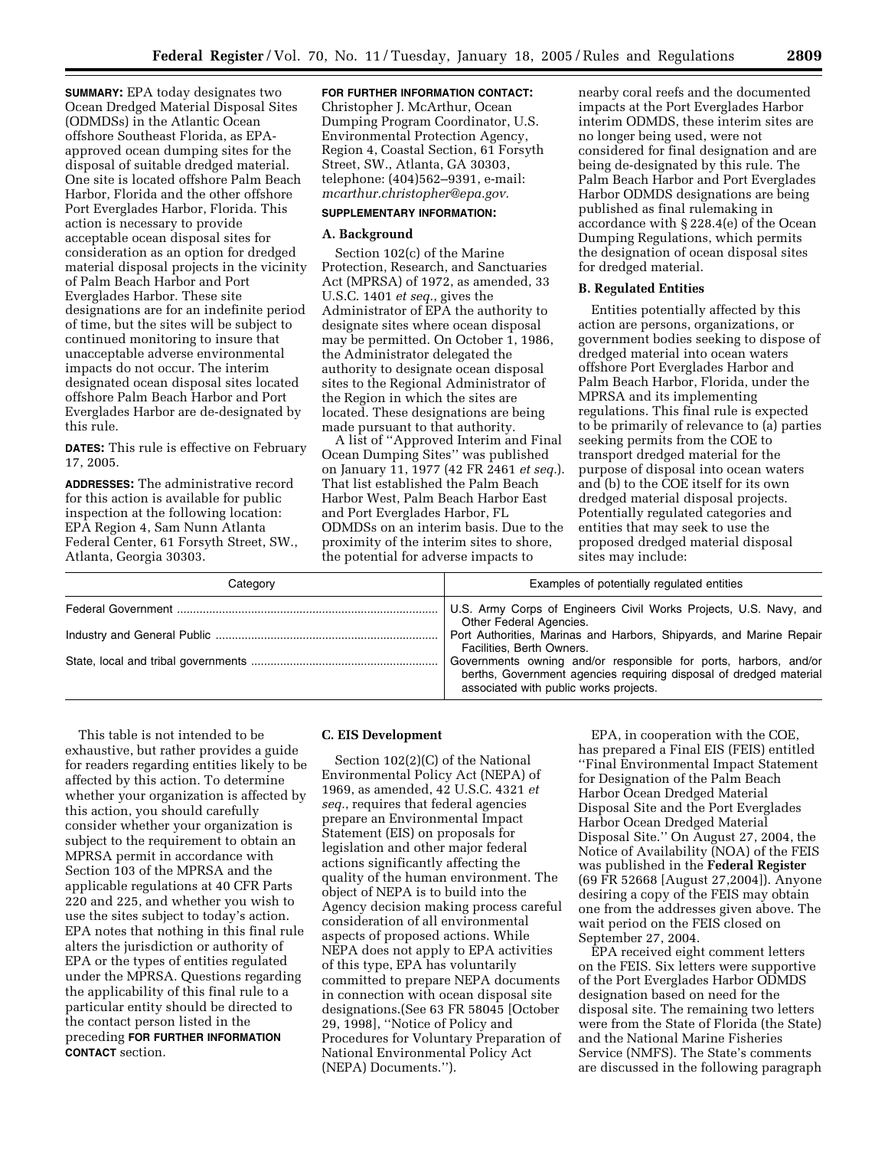**SUMMARY:** EPA today designates two Ocean Dredged Material Disposal Sites (ODMDSs) in the Atlantic Ocean offshore Southeast Florida, as EPAapproved ocean dumping sites for the disposal of suitable dredged material. One site is located offshore Palm Beach Harbor, Florida and the other offshore Port Everglades Harbor, Florida. This action is necessary to provide acceptable ocean disposal sites for consideration as an option for dredged material disposal projects in the vicinity of Palm Beach Harbor and Port Everglades Harbor. These site designations are for an indefinite period of time, but the sites will be subject to continued monitoring to insure that unacceptable adverse environmental impacts do not occur. The interim designated ocean disposal sites located offshore Palm Beach Harbor and Port Everglades Harbor are de-designated by this rule.

**DATES:** This rule is effective on February 17, 2005.

**ADDRESSES:** The administrative record for this action is available for public inspection at the following location: EPA Region 4, Sam Nunn Atlanta Federal Center, 61 Forsyth Street, SW., Atlanta, Georgia 30303.

**FOR FURTHER INFORMATION CONTACT:** Christopher J. McArthur, Ocean Dumping Program Coordinator, U.S. Environmental Protection Agency, Region 4, Coastal Section, 61 Forsyth Street, SW., Atlanta, GA 30303, telephone: (404)562–9391, e-mail: *mcarthur.christopher@epa.gov.*

## **SUPPLEMENTARY INFORMATION:**

## **A. Background**

Section 102(c) of the Marine Protection, Research, and Sanctuaries Act (MPRSA) of 1972, as amended, 33 U.S.C. 1401 *et seq.*, gives the Administrator of EPA the authority to designate sites where ocean disposal may be permitted. On October 1, 1986, the Administrator delegated the authority to designate ocean disposal sites to the Regional Administrator of the Region in which the sites are located. These designations are being made pursuant to that authority.

A list of ''Approved Interim and Final Ocean Dumping Sites'' was published on January 11, 1977 (42 FR 2461 *et seq.*). That list established the Palm Beach Harbor West, Palm Beach Harbor East and Port Everglades Harbor, FL ODMDSs on an interim basis. Due to the proximity of the interim sites to shore, the potential for adverse impacts to

nearby coral reefs and the documented impacts at the Port Everglades Harbor interim ODMDS, these interim sites are no longer being used, were not considered for final designation and are being de-designated by this rule. The Palm Beach Harbor and Port Everglades Harbor ODMDS designations are being published as final rulemaking in accordance with § 228.4(e) of the Ocean Dumping Regulations, which permits the designation of ocean disposal sites for dredged material.

#### **B. Regulated Entities**

Entities potentially affected by this action are persons, organizations, or government bodies seeking to dispose of dredged material into ocean waters offshore Port Everglades Harbor and Palm Beach Harbor, Florida, under the MPRSA and its implementing regulations. This final rule is expected to be primarily of relevance to (a) parties seeking permits from the COE to transport dredged material for the purpose of disposal into ocean waters and (b) to the COE itself for its own dredged material disposal projects. Potentially regulated categories and entities that may seek to use the proposed dredged material disposal sites may include:

| Categorv | Examples of potentially regulated entities                                                                                                                                       |
|----------|----------------------------------------------------------------------------------------------------------------------------------------------------------------------------------|
|          | U.S. Army Corps of Engineers Civil Works Projects, U.S. Navy, and<br>Other Federal Agencies.                                                                                     |
|          | Port Authorities, Marinas and Harbors, Shipyards, and Marine Repair<br>Facilities, Berth Owners.                                                                                 |
|          | Governments owning and/or responsible for ports, harbors, and/or<br>berths, Government agencies requiring disposal of dredged material<br>associated with public works projects. |

This table is not intended to be exhaustive, but rather provides a guide for readers regarding entities likely to be affected by this action. To determine whether your organization is affected by this action, you should carefully consider whether your organization is subject to the requirement to obtain an MPRSA permit in accordance with Section 103 of the MPRSA and the applicable regulations at 40 CFR Parts 220 and 225, and whether you wish to use the sites subject to today's action. EPA notes that nothing in this final rule alters the jurisdiction or authority of EPA or the types of entities regulated under the MPRSA. Questions regarding the applicability of this final rule to a particular entity should be directed to the contact person listed in the preceding **FOR FURTHER INFORMATION CONTACT** section.

### **C. EIS Development**

Section 102(2)(C) of the National Environmental Policy Act (NEPA) of 1969, as amended, 42 U.S.C. 4321 *et seq.*, requires that federal agencies prepare an Environmental Impact Statement (EIS) on proposals for legislation and other major federal actions significantly affecting the quality of the human environment. The object of NEPA is to build into the Agency decision making process careful consideration of all environmental aspects of proposed actions. While NEPA does not apply to EPA activities of this type, EPA has voluntarily committed to prepare NEPA documents in connection with ocean disposal site designations.(See 63 FR 58045 [October 29, 1998], ''Notice of Policy and Procedures for Voluntary Preparation of National Environmental Policy Act (NEPA) Documents.'').

EPA, in cooperation with the COE, has prepared a Final EIS (FEIS) entitled ''Final Environmental Impact Statement for Designation of the Palm Beach Harbor Ocean Dredged Material Disposal Site and the Port Everglades Harbor Ocean Dredged Material Disposal Site.'' On August 27, 2004, the Notice of Availability (NOA) of the FEIS was published in the **Federal Register** (69 FR 52668 [August 27,2004]). Anyone desiring a copy of the FEIS may obtain one from the addresses given above. The wait period on the FEIS closed on September 27, 2004.

EPA received eight comment letters on the FEIS. Six letters were supportive of the Port Everglades Harbor ODMDS designation based on need for the disposal site. The remaining two letters were from the State of Florida (the State) and the National Marine Fisheries Service (NMFS). The State's comments are discussed in the following paragraph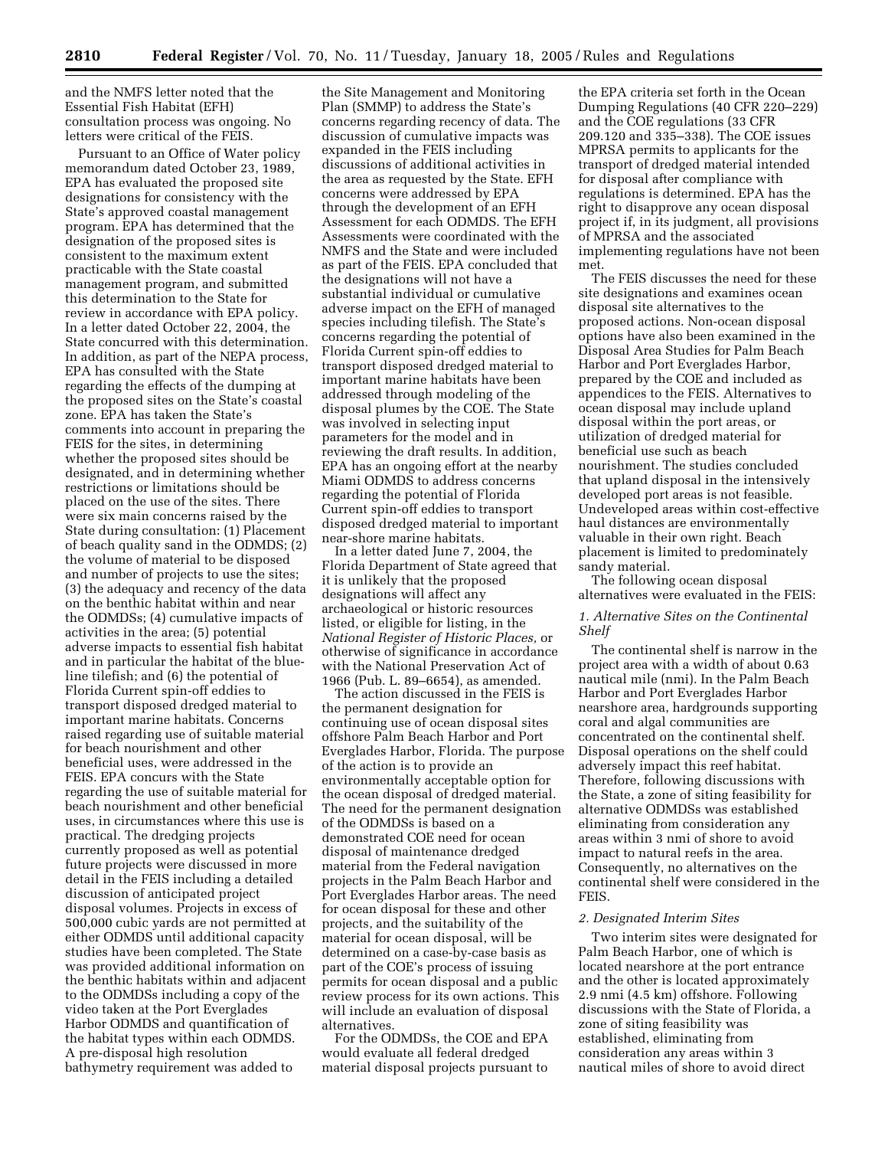and the NMFS letter noted that the Essential Fish Habitat (EFH) consultation process was ongoing. No letters were critical of the FEIS.

Pursuant to an Office of Water policy memorandum dated October 23, 1989, EPA has evaluated the proposed site designations for consistency with the State's approved coastal management program. EPA has determined that the designation of the proposed sites is consistent to the maximum extent practicable with the State coastal management program, and submitted this determination to the State for review in accordance with EPA policy. In a letter dated October 22, 2004, the State concurred with this determination. In addition, as part of the NEPA process, EPA has consulted with the State regarding the effects of the dumping at the proposed sites on the State's coastal zone. EPA has taken the State's comments into account in preparing the FEIS for the sites, in determining whether the proposed sites should be designated, and in determining whether restrictions or limitations should be placed on the use of the sites. There were six main concerns raised by the State during consultation: (1) Placement of beach quality sand in the ODMDS; (2) the volume of material to be disposed and number of projects to use the sites; (3) the adequacy and recency of the data on the benthic habitat within and near the ODMDSs; (4) cumulative impacts of activities in the area; (5) potential adverse impacts to essential fish habitat and in particular the habitat of the blueline tilefish; and (6) the potential of Florida Current spin-off eddies to transport disposed dredged material to important marine habitats. Concerns raised regarding use of suitable material for beach nourishment and other beneficial uses, were addressed in the FEIS. EPA concurs with the State regarding the use of suitable material for beach nourishment and other beneficial uses, in circumstances where this use is practical. The dredging projects currently proposed as well as potential future projects were discussed in more detail in the FEIS including a detailed discussion of anticipated project disposal volumes. Projects in excess of 500,000 cubic yards are not permitted at either ODMDS until additional capacity studies have been completed. The State was provided additional information on the benthic habitats within and adjacent to the ODMDSs including a copy of the video taken at the Port Everglades Harbor ODMDS and quantification of the habitat types within each ODMDS. A pre-disposal high resolution bathymetry requirement was added to

the Site Management and Monitoring Plan (SMMP) to address the State's concerns regarding recency of data. The discussion of cumulative impacts was expanded in the FEIS including discussions of additional activities in the area as requested by the State. EFH concerns were addressed by EPA through the development of an EFH Assessment for each ODMDS. The EFH Assessments were coordinated with the NMFS and the State and were included as part of the FEIS. EPA concluded that the designations will not have a substantial individual or cumulative adverse impact on the EFH of managed species including tilefish. The State's concerns regarding the potential of Florida Current spin-off eddies to transport disposed dredged material to important marine habitats have been addressed through modeling of the disposal plumes by the COE. The State was involved in selecting input parameters for the model and in reviewing the draft results. In addition, EPA has an ongoing effort at the nearby Miami ODMDS to address concerns regarding the potential of Florida Current spin-off eddies to transport disposed dredged material to important near-shore marine habitats.

In a letter dated June 7, 2004, the Florida Department of State agreed that it is unlikely that the proposed designations will affect any archaeological or historic resources listed, or eligible for listing, in the *National Register of Historic Places,* or otherwise of significance in accordance with the National Preservation Act of 1966 (Pub. L. 89–6654), as amended.

The action discussed in the FEIS is the permanent designation for continuing use of ocean disposal sites offshore Palm Beach Harbor and Port Everglades Harbor, Florida. The purpose of the action is to provide an environmentally acceptable option for the ocean disposal of dredged material. The need for the permanent designation of the ODMDSs is based on a demonstrated COE need for ocean disposal of maintenance dredged material from the Federal navigation projects in the Palm Beach Harbor and Port Everglades Harbor areas. The need for ocean disposal for these and other projects, and the suitability of the material for ocean disposal, will be determined on a case-by-case basis as part of the COE's process of issuing permits for ocean disposal and a public review process for its own actions. This will include an evaluation of disposal alternatives.

For the ODMDSs, the COE and EPA would evaluate all federal dredged material disposal projects pursuant to

the EPA criteria set forth in the Ocean Dumping Regulations (40 CFR 220–229) and the COE regulations (33 CFR 209.120 and 335–338). The COE issues MPRSA permits to applicants for the transport of dredged material intended for disposal after compliance with regulations is determined. EPA has the right to disapprove any ocean disposal project if, in its judgment, all provisions of MPRSA and the associated implementing regulations have not been met.

The FEIS discusses the need for these site designations and examines ocean disposal site alternatives to the proposed actions. Non-ocean disposal options have also been examined in the Disposal Area Studies for Palm Beach Harbor and Port Everglades Harbor, prepared by the COE and included as appendices to the FEIS. Alternatives to ocean disposal may include upland disposal within the port areas, or utilization of dredged material for beneficial use such as beach nourishment. The studies concluded that upland disposal in the intensively developed port areas is not feasible. Undeveloped areas within cost-effective haul distances are environmentally valuable in their own right. Beach placement is limited to predominately sandy material.

The following ocean disposal alternatives were evaluated in the FEIS:

# *1. Alternative Sites on the Continental Shelf*

The continental shelf is narrow in the project area with a width of about 0.63 nautical mile (nmi). In the Palm Beach Harbor and Port Everglades Harbor nearshore area, hardgrounds supporting coral and algal communities are concentrated on the continental shelf. Disposal operations on the shelf could adversely impact this reef habitat. Therefore, following discussions with the State, a zone of siting feasibility for alternative ODMDSs was established eliminating from consideration any areas within 3 nmi of shore to avoid impact to natural reefs in the area. Consequently, no alternatives on the continental shelf were considered in the FEIS.

#### *2. Designated Interim Sites*

Two interim sites were designated for Palm Beach Harbor, one of which is located nearshore at the port entrance and the other is located approximately 2.9 nmi (4.5 km) offshore. Following discussions with the State of Florida, a zone of siting feasibility was established, eliminating from consideration any areas within 3 nautical miles of shore to avoid direct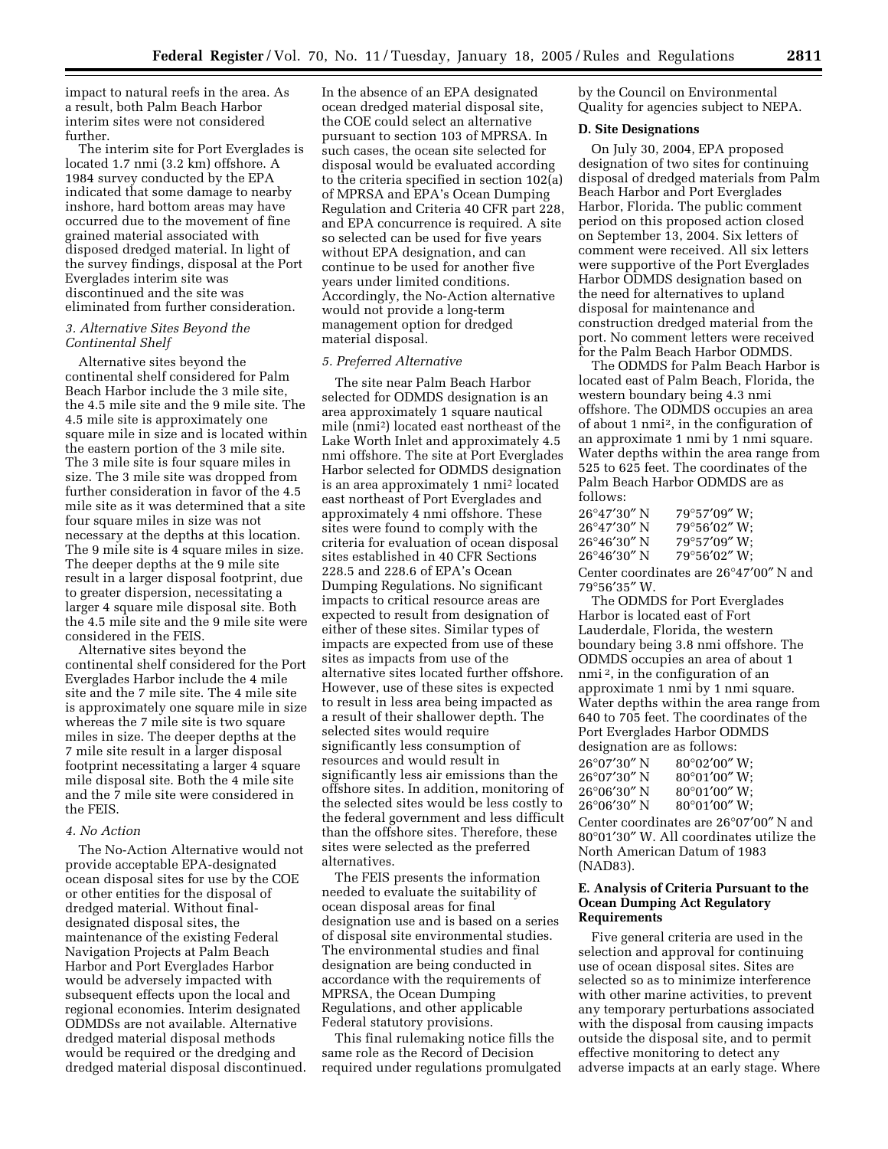impact to natural reefs in the area. As a result, both Palm Beach Harbor interim sites were not considered further.

The interim site for Port Everglades is located 1.7 nmi (3.2 km) offshore. A 1984 survey conducted by the EPA indicated that some damage to nearby inshore, hard bottom areas may have occurred due to the movement of fine grained material associated with disposed dredged material. In light of the survey findings, disposal at the Port Everglades interim site was discontinued and the site was eliminated from further consideration.

### *3. Alternative Sites Beyond the Continental Shelf*

Alternative sites beyond the continental shelf considered for Palm Beach Harbor include the 3 mile site, the 4.5 mile site and the 9 mile site. The 4.5 mile site is approximately one square mile in size and is located within the eastern portion of the 3 mile site. The 3 mile site is four square miles in size. The 3 mile site was dropped from further consideration in favor of the 4.5 mile site as it was determined that a site four square miles in size was not necessary at the depths at this location. The 9 mile site is 4 square miles in size. The deeper depths at the 9 mile site result in a larger disposal footprint, due to greater dispersion, necessitating a larger 4 square mile disposal site. Both the 4.5 mile site and the 9 mile site were considered in the FEIS.

Alternative sites beyond the continental shelf considered for the Port Everglades Harbor include the 4 mile site and the 7 mile site. The 4 mile site is approximately one square mile in size whereas the 7 mile site is two square miles in size. The deeper depths at the 7 mile site result in a larger disposal footprint necessitating a larger 4 square mile disposal site. Both the 4 mile site and the 7 mile site were considered in the FEIS.

### *4. No Action*

The No-Action Alternative would not provide acceptable EPA-designated ocean disposal sites for use by the COE or other entities for the disposal of dredged material. Without finaldesignated disposal sites, the maintenance of the existing Federal Navigation Projects at Palm Beach Harbor and Port Everglades Harbor would be adversely impacted with subsequent effects upon the local and regional economies. Interim designated ODMDSs are not available. Alternative dredged material disposal methods would be required or the dredging and dredged material disposal discontinued.

In the absence of an EPA designated ocean dredged material disposal site, the COE could select an alternative pursuant to section 103 of MPRSA. In such cases, the ocean site selected for disposal would be evaluated according to the criteria specified in section 102(a) of MPRSA and EPA's Ocean Dumping Regulation and Criteria 40 CFR part 228, and EPA concurrence is required. A site so selected can be used for five years without EPA designation, and can continue to be used for another five years under limited conditions. Accordingly, the No-Action alternative would not provide a long-term management option for dredged material disposal.

#### *5. Preferred Alternative*

The site near Palm Beach Harbor selected for ODMDS designation is an area approximately 1 square nautical mile (nmi2) located east northeast of the Lake Worth Inlet and approximately 4.5 nmi offshore. The site at Port Everglades Harbor selected for ODMDS designation is an area approximately 1 nmi2 located east northeast of Port Everglades and approximately 4 nmi offshore. These sites were found to comply with the criteria for evaluation of ocean disposal sites established in 40 CFR Sections 228.5 and 228.6 of EPA's Ocean Dumping Regulations. No significant impacts to critical resource areas are expected to result from designation of either of these sites. Similar types of impacts are expected from use of these sites as impacts from use of the alternative sites located further offshore. However, use of these sites is expected to result in less area being impacted as a result of their shallower depth. The selected sites would require significantly less consumption of resources and would result in significantly less air emissions than the offshore sites. In addition, monitoring of the selected sites would be less costly to the federal government and less difficult than the offshore sites. Therefore, these sites were selected as the preferred alternatives.

The FEIS presents the information needed to evaluate the suitability of ocean disposal areas for final designation use and is based on a series of disposal site environmental studies. The environmental studies and final designation are being conducted in accordance with the requirements of MPRSA, the Ocean Dumping Regulations, and other applicable Federal statutory provisions.

This final rulemaking notice fills the same role as the Record of Decision required under regulations promulgated by the Council on Environmental Quality for agencies subject to NEPA.

### **D. Site Designations**

On July 30, 2004, EPA proposed designation of two sites for continuing disposal of dredged materials from Palm Beach Harbor and Port Everglades Harbor, Florida. The public comment period on this proposed action closed on September 13, 2004. Six letters of comment were received. All six letters were supportive of the Port Everglades Harbor ODMDS designation based on the need for alternatives to upland disposal for maintenance and construction dredged material from the port. No comment letters were received for the Palm Beach Harbor ODMDS.

The ODMDS for Palm Beach Harbor is located east of Palm Beach, Florida, the western boundary being 4.3 nmi offshore. The ODMDS occupies an area of about 1 nmi2, in the configuration of an approximate 1 nmi by 1 nmi square. Water depths within the area range from 525 to 625 feet. The coordinates of the Palm Beach Harbor ODMDS are as follows:

| 26°47′30″ N<br>26°47′30″ N | $79^{\circ}57'09''$ W:<br>79°56'02" W: |
|----------------------------|----------------------------------------|
| 26°46′30″ N                | $79^{\circ}57'09''$ W;                 |
| 26°46′30″ N                | $79^{\circ}56'02''$ W;                 |
|                            |                                        |

Center coordinates are 26°47′00″ N and 79°56′35″ W.

The ODMDS for Port Everglades Harbor is located east of Fort Lauderdale, Florida, the western boundary being 3.8 nmi offshore. The ODMDS occupies an area of about 1 nmi 2, in the configuration of an approximate 1 nmi by 1 nmi square. Water depths within the area range from 640 to 705 feet. The coordinates of the Port Everglades Harbor ODMDS designation are as follows:

| 26°07′30″ N<br>26°07′30″ N | $80^{\circ}02'00''$ W:<br>$80^{\circ}01'00''$ W: |
|----------------------------|--------------------------------------------------|
| 26°06′30″ N                | $80^{\circ}01'00''$ W:                           |
| 26°06′30″ N                | $80^{\circ}01'00''$ W:                           |

Center coordinates are 26°07′00″ N and 80°01′30″ W. All coordinates utilize the North American Datum of 1983 (NAD83).

## **E. Analysis of Criteria Pursuant to the Ocean Dumping Act Regulatory Requirements**

Five general criteria are used in the selection and approval for continuing use of ocean disposal sites. Sites are selected so as to minimize interference with other marine activities, to prevent any temporary perturbations associated with the disposal from causing impacts outside the disposal site, and to permit effective monitoring to detect any adverse impacts at an early stage. Where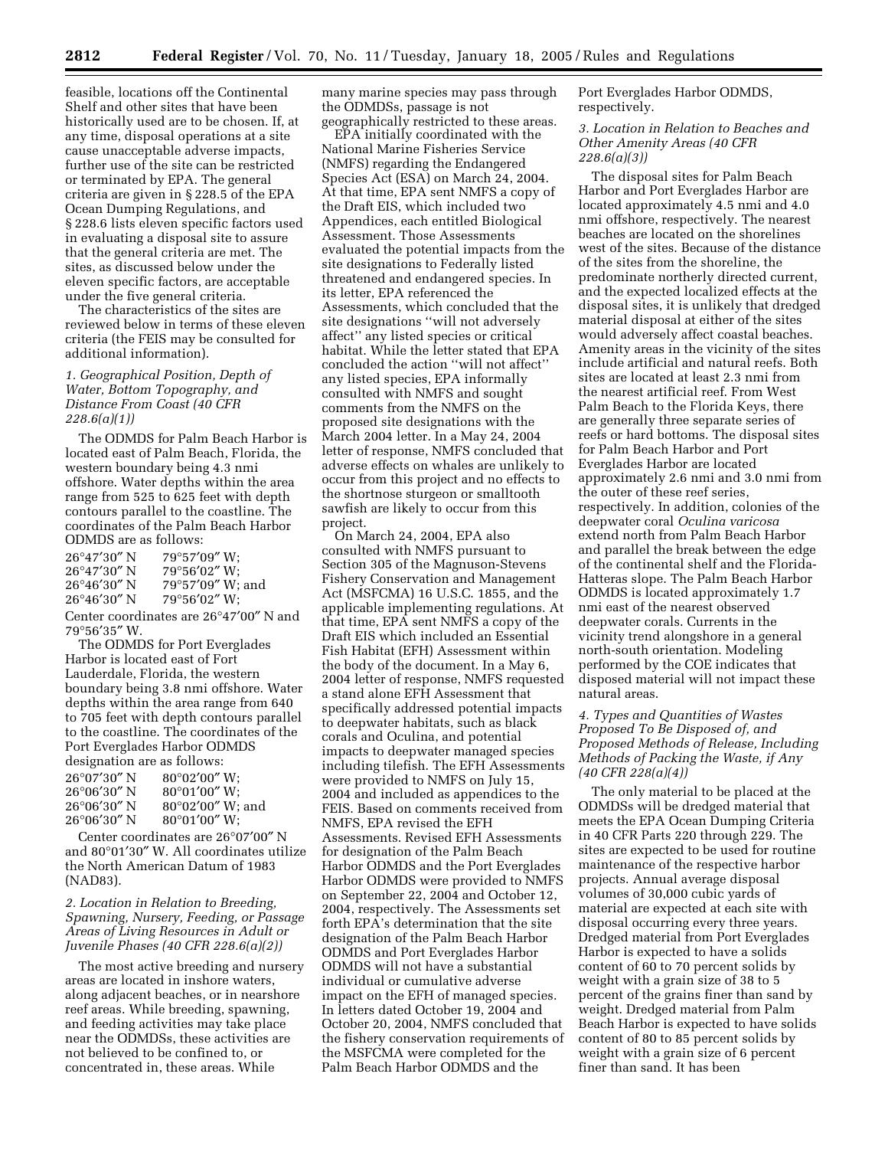feasible, locations off the Continental Shelf and other sites that have been historically used are to be chosen. If, at any time, disposal operations at a site cause unacceptable adverse impacts, further use of the site can be restricted or terminated by EPA. The general criteria are given in § 228.5 of the EPA Ocean Dumping Regulations, and § 228.6 lists eleven specific factors used in evaluating a disposal site to assure that the general criteria are met. The sites, as discussed below under the eleven specific factors, are acceptable under the five general criteria.

The characteristics of the sites are reviewed below in terms of these eleven criteria (the FEIS may be consulted for additional information).

## *1. Geographical Position, Depth of Water, Bottom Topography, and Distance From Coast (40 CFR 228.6(a)(1))*

The ODMDS for Palm Beach Harbor is located east of Palm Beach, Florida, the western boundary being 4.3 nmi offshore. Water depths within the area range from 525 to 625 feet with depth contours parallel to the coastline. The coordinates of the Palm Beach Harbor ODMDS are as follows:

| 26°47′30″ N | $79^{\circ}57'09''$ W: |
|-------------|------------------------|
| 26°47′30″ N | $79^{\circ}56'02''$ W: |
| 26°46′30″ N | 79°57'09" W; and       |
| 26°46′30″ N | $79^{\circ}56'02''$ W; |

Center coordinates are 26°47′00″ N and 79°56′35″ W.

The ODMDS for Port Everglades Harbor is located east of Fort Lauderdale, Florida, the western boundary being 3.8 nmi offshore. Water depths within the area range from 640 to 705 feet with depth contours parallel to the coastline. The coordinates of the Port Everglades Harbor ODMDS designation are as follows:

| 26°07′30″ N           | $80^{\circ}02'00''$ W:     |
|-----------------------|----------------------------|
| 26°06′30″ N           | $80^{\circ}01'00''$ W:     |
| $26^{\circ}06'30''$ N | $80^{\circ}02'00''$ W: and |
| 26°06′30″ N           | $80^{\circ}01'00''$ W:     |

Center coordinates are 26°07′00″ N and 80°01′30″ W. All coordinates utilize the North American Datum of 1983 (NAD83).

## *2. Location in Relation to Breeding, Spawning, Nursery, Feeding, or Passage Areas of Living Resources in Adult or Juvenile Phases (40 CFR 228.6(a)(2))*

The most active breeding and nursery areas are located in inshore waters, along adjacent beaches, or in nearshore reef areas. While breeding, spawning, and feeding activities may take place near the ODMDSs, these activities are not believed to be confined to, or concentrated in, these areas. While

many marine species may pass through the ODMDSs, passage is not geographically restricted to these areas.

EPA initially coordinated with the National Marine Fisheries Service (NMFS) regarding the Endangered Species Act (ESA) on March 24, 2004. At that time, EPA sent NMFS a copy of the Draft EIS, which included two Appendices, each entitled Biological Assessment. Those Assessments evaluated the potential impacts from the site designations to Federally listed threatened and endangered species. In its letter, EPA referenced the Assessments, which concluded that the site designations ''will not adversely affect'' any listed species or critical habitat. While the letter stated that EPA concluded the action ''will not affect'' any listed species, EPA informally consulted with NMFS and sought comments from the NMFS on the proposed site designations with the March 2004 letter. In a May 24, 2004 letter of response, NMFS concluded that adverse effects on whales are unlikely to occur from this project and no effects to the shortnose sturgeon or smalltooth sawfish are likely to occur from this project.

On March 24, 2004, EPA also consulted with NMFS pursuant to Section 305 of the Magnuson-Stevens Fishery Conservation and Management Act (MSFCMA) 16 U.S.C. 1855, and the applicable implementing regulations. At that time, EPA sent NMFS a copy of the Draft EIS which included an Essential Fish Habitat (EFH) Assessment within the body of the document. In a May 6, 2004 letter of response, NMFS requested a stand alone EFH Assessment that specifically addressed potential impacts to deepwater habitats, such as black corals and Oculina, and potential impacts to deepwater managed species including tilefish. The EFH Assessments were provided to NMFS on July 15, 2004 and included as appendices to the FEIS. Based on comments received from NMFS, EPA revised the EFH Assessments. Revised EFH Assessments for designation of the Palm Beach Harbor ODMDS and the Port Everglades Harbor ODMDS were provided to NMFS on September 22, 2004 and October 12, 2004, respectively. The Assessments set forth EPA's determination that the site designation of the Palm Beach Harbor ODMDS and Port Everglades Harbor ODMDS will not have a substantial individual or cumulative adverse impact on the EFH of managed species. In letters dated October 19, 2004 and October 20, 2004, NMFS concluded that the fishery conservation requirements of the MSFCMA were completed for the Palm Beach Harbor ODMDS and the

Port Everglades Harbor ODMDS, respectively.

*3. Location in Relation to Beaches and Other Amenity Areas (40 CFR 228.6(a)(3))* 

The disposal sites for Palm Beach Harbor and Port Everglades Harbor are located approximately 4.5 nmi and 4.0 nmi offshore, respectively. The nearest beaches are located on the shorelines west of the sites. Because of the distance of the sites from the shoreline, the predominate northerly directed current, and the expected localized effects at the disposal sites, it is unlikely that dredged material disposal at either of the sites would adversely affect coastal beaches. Amenity areas in the vicinity of the sites include artificial and natural reefs. Both sites are located at least 2.3 nmi from the nearest artificial reef. From West Palm Beach to the Florida Keys, there are generally three separate series of reefs or hard bottoms. The disposal sites for Palm Beach Harbor and Port Everglades Harbor are located approximately 2.6 nmi and 3.0 nmi from the outer of these reef series, respectively. In addition, colonies of the deepwater coral *Oculina varicosa* extend north from Palm Beach Harbor and parallel the break between the edge of the continental shelf and the Florida-Hatteras slope. The Palm Beach Harbor ODMDS is located approximately 1.7 nmi east of the nearest observed deepwater corals. Currents in the vicinity trend alongshore in a general north-south orientation. Modeling performed by the COE indicates that disposed material will not impact these natural areas.

## *4. Types and Quantities of Wastes Proposed To Be Disposed of, and Proposed Methods of Release, Including Methods of Packing the Waste, if Any (40 CFR 228(a)(4))*

The only material to be placed at the ODMDSs will be dredged material that meets the EPA Ocean Dumping Criteria in 40 CFR Parts 220 through 229. The sites are expected to be used for routine maintenance of the respective harbor projects. Annual average disposal volumes of 30,000 cubic yards of material are expected at each site with disposal occurring every three years. Dredged material from Port Everglades Harbor is expected to have a solids content of 60 to 70 percent solids by weight with a grain size of 38 to 5 percent of the grains finer than sand by weight. Dredged material from Palm Beach Harbor is expected to have solids content of 80 to 85 percent solids by weight with a grain size of 6 percent finer than sand. It has been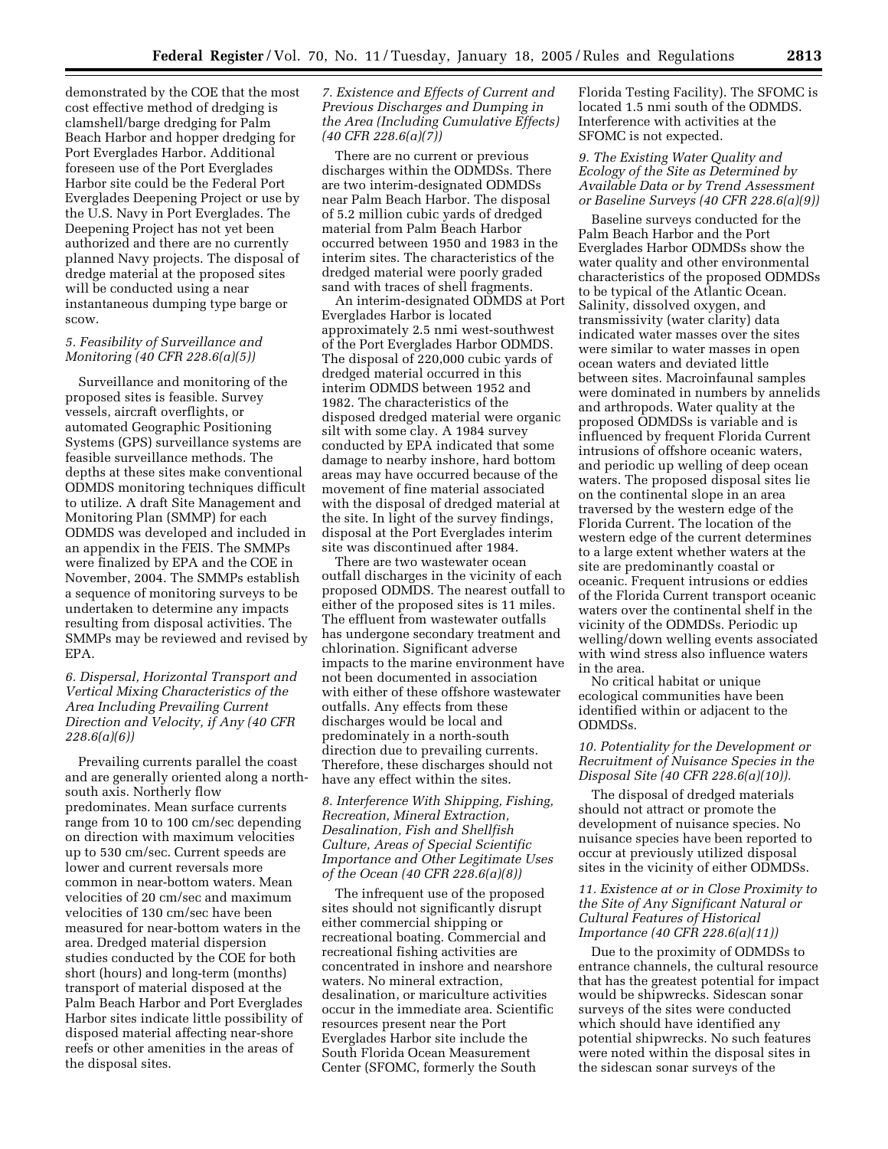demonstrated by the COE that the most cost effective method of dredging is clamshell/barge dredging for Palm Beach Harbor and hopper dredging for Port Everglades Harbor. Additional foreseen use of the Port Everglades Harbor site could be the Federal Port Everglades Deepening Project or use by the U.S. Navy in Port Everglades. The Deepening Project has not yet been authorized and there are no currently planned Navy projects. The disposal of dredge material at the proposed sites will be conducted using a near instantaneous dumping type barge or scow.

# *5. Feasibility of Surveillance and Monitoring (40 CFR 228.6(a)(5))*

Surveillance and monitoring of the proposed sites is feasible. Survey vessels, aircraft overflights, or automated Geographic Positioning Systems (GPS) surveillance systems are feasible surveillance methods. The depths at these sites make conventional ODMDS monitoring techniques difficult to utilize. A draft Site Management and Monitoring Plan (SMMP) for each ODMDS was developed and included in an appendix in the FEIS. The SMMPs were finalized by EPA and the COE in November, 2004. The SMMPs establish a sequence of monitoring surveys to be undertaken to determine any impacts resulting from disposal activities. The SMMPs may be reviewed and revised by EPA.

# *6. Dispersal, Horizontal Transport and Vertical Mixing Characteristics of the Area Including Prevailing Current Direction and Velocity, if Any (40 CFR 228.6(a)(6))*

Prevailing currents parallel the coast and are generally oriented along a northsouth axis. Northerly flow predominates. Mean surface currents range from 10 to 100 cm/sec depending on direction with maximum velocities up to 530 cm/sec. Current speeds are lower and current reversals more common in near-bottom waters. Mean velocities of 20 cm/sec and maximum velocities of 130 cm/sec have been measured for near-bottom waters in the area. Dredged material dispersion studies conducted by the COE for both short (hours) and long-term (months) transport of material disposed at the Palm Beach Harbor and Port Everglades Harbor sites indicate little possibility of disposed material affecting near-shore reefs or other amenities in the areas of the disposal sites.

## *7. Existence and Effects of Current and Previous Discharges and Dumping in the Area (Including Cumulative Effects) (40 CFR 228.6(a)(7))*

There are no current or previous discharges within the ODMDSs. There are two interim-designated ODMDSs near Palm Beach Harbor. The disposal of 5.2 million cubic yards of dredged material from Palm Beach Harbor occurred between 1950 and 1983 in the interim sites. The characteristics of the dredged material were poorly graded sand with traces of shell fragments.

An interim-designated ODMDS at Port Everglades Harbor is located approximately 2.5 nmi west-southwest of the Port Everglades Harbor ODMDS. The disposal of 220,000 cubic yards of dredged material occurred in this interim ODMDS between 1952 and 1982. The characteristics of the disposed dredged material were organic silt with some clay. A 1984 survey conducted by EPA indicated that some damage to nearby inshore, hard bottom areas may have occurred because of the movement of fine material associated with the disposal of dredged material at the site. In light of the survey findings, disposal at the Port Everglades interim site was discontinued after 1984.

There are two wastewater ocean outfall discharges in the vicinity of each proposed ODMDS. The nearest outfall to either of the proposed sites is 11 miles. The effluent from wastewater outfalls has undergone secondary treatment and chlorination. Significant adverse impacts to the marine environment have not been documented in association with either of these offshore wastewater outfalls. Any effects from these discharges would be local and predominately in a north-south direction due to prevailing currents. Therefore, these discharges should not have any effect within the sites.

## *8. Interference With Shipping, Fishing, Recreation, Mineral Extraction, Desalination, Fish and Shellfish Culture, Areas of Special Scientific Importance and Other Legitimate Uses of the Ocean (40 CFR 228.6(a)(8))*

The infrequent use of the proposed sites should not significantly disrupt either commercial shipping or recreational boating. Commercial and recreational fishing activities are concentrated in inshore and nearshore waters. No mineral extraction, desalination, or mariculture activities occur in the immediate area. Scientific resources present near the Port Everglades Harbor site include the South Florida Ocean Measurement Center (SFOMC, formerly the South

Florida Testing Facility). The SFOMC is located 1.5 nmi south of the ODMDS. Interference with activities at the SFOMC is not expected.

### *9. The Existing Water Quality and Ecology of the Site as Determined by Available Data or by Trend Assessment or Baseline Surveys (40 CFR 228.6(a)(9))*

Baseline surveys conducted for the Palm Beach Harbor and the Port Everglades Harbor ODMDSs show the water quality and other environmental characteristics of the proposed ODMDSs to be typical of the Atlantic Ocean. Salinity, dissolved oxygen, and transmissivity (water clarity) data indicated water masses over the sites were similar to water masses in open ocean waters and deviated little between sites. Macroinfaunal samples were dominated in numbers by annelids and arthropods. Water quality at the proposed ODMDSs is variable and is influenced by frequent Florida Current intrusions of offshore oceanic waters, and periodic up welling of deep ocean waters. The proposed disposal sites lie on the continental slope in an area traversed by the western edge of the Florida Current. The location of the western edge of the current determines to a large extent whether waters at the site are predominantly coastal or oceanic. Frequent intrusions or eddies of the Florida Current transport oceanic waters over the continental shelf in the vicinity of the ODMDSs. Periodic up welling/down welling events associated with wind stress also influence waters in the area.

No critical habitat or unique ecological communities have been identified within or adjacent to the ODMDSs.

## *10. Potentiality for the Development or Recruitment of Nuisance Species in the Disposal Site (40 CFR 228.6(a)(10)).*

The disposal of dredged materials should not attract or promote the development of nuisance species. No nuisance species have been reported to occur at previously utilized disposal sites in the vicinity of either ODMDSs.

# *11. Existence at or in Close Proximity to the Site of Any Significant Natural or Cultural Features of Historical Importance (40 CFR 228.6(a)(11))*

Due to the proximity of ODMDSs to entrance channels, the cultural resource that has the greatest potential for impact would be shipwrecks. Sidescan sonar surveys of the sites were conducted which should have identified any potential shipwrecks. No such features were noted within the disposal sites in the sidescan sonar surveys of the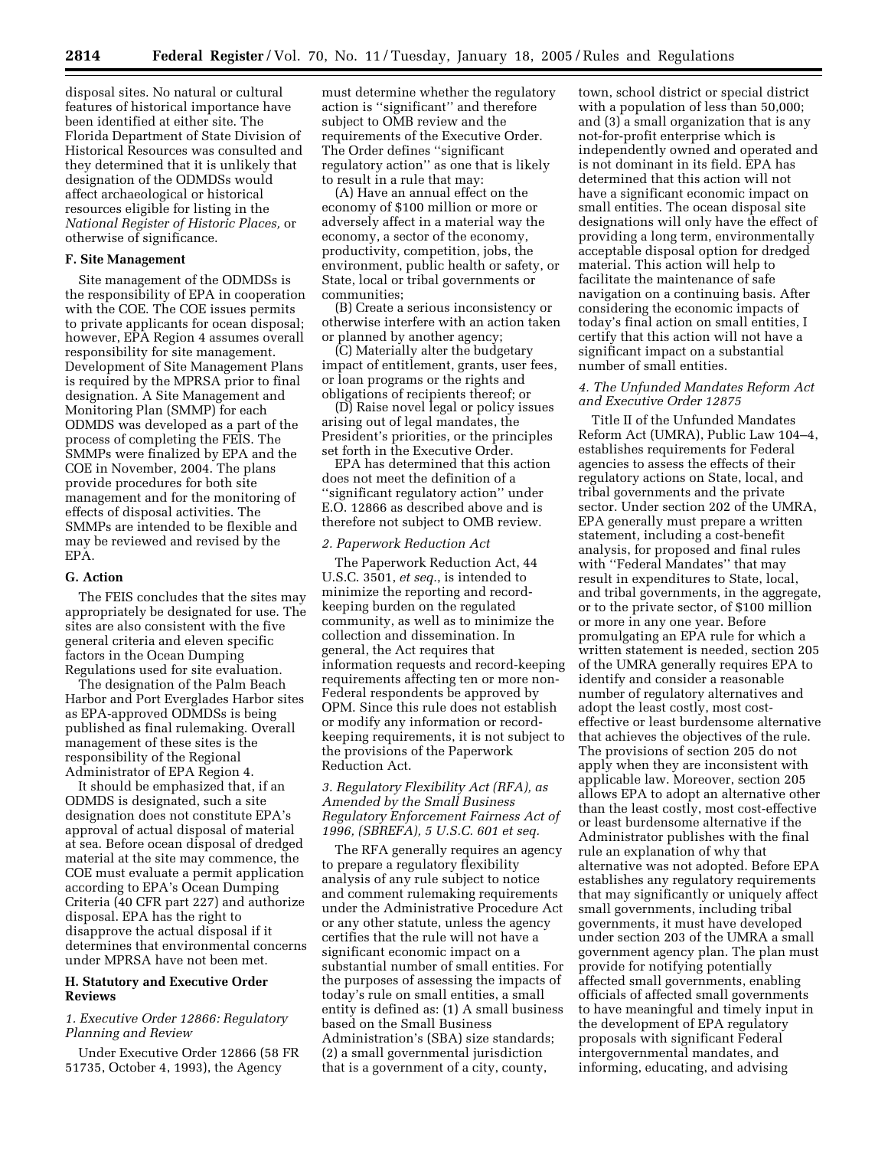disposal sites. No natural or cultural features of historical importance have been identified at either site. The Florida Department of State Division of Historical Resources was consulted and they determined that it is unlikely that designation of the ODMDSs would affect archaeological or historical resources eligible for listing in the *National Register of Historic Places,* or otherwise of significance.

#### **F. Site Management**

Site management of the ODMDSs is the responsibility of EPA in cooperation with the COE. The COE issues permits to private applicants for ocean disposal; however, EPA Region 4 assumes overall responsibility for site management. Development of Site Management Plans is required by the MPRSA prior to final designation. A Site Management and Monitoring Plan (SMMP) for each ODMDS was developed as a part of the process of completing the FEIS. The SMMPs were finalized by EPA and the COE in November, 2004. The plans provide procedures for both site management and for the monitoring of effects of disposal activities. The SMMPs are intended to be flexible and may be reviewed and revised by the EPA.

### **G. Action**

The FEIS concludes that the sites may appropriately be designated for use. The sites are also consistent with the five general criteria and eleven specific factors in the Ocean Dumping Regulations used for site evaluation.

The designation of the Palm Beach Harbor and Port Everglades Harbor sites as EPA-approved ODMDSs is being published as final rulemaking. Overall management of these sites is the responsibility of the Regional Administrator of EPA Region 4.

It should be emphasized that, if an ODMDS is designated, such a site designation does not constitute EPA's approval of actual disposal of material at sea. Before ocean disposal of dredged material at the site may commence, the COE must evaluate a permit application according to EPA's Ocean Dumping Criteria (40 CFR part 227) and authorize disposal. EPA has the right to disapprove the actual disposal if it determines that environmental concerns under MPRSA have not been met.

## **H. Statutory and Executive Order Reviews**

## *1. Executive Order 12866: Regulatory Planning and Review*

Under Executive Order 12866 (58 FR 51735, October 4, 1993), the Agency

must determine whether the regulatory action is ''significant'' and therefore subject to OMB review and the requirements of the Executive Order. The Order defines ''significant regulatory action'' as one that is likely to result in a rule that may:

(A) Have an annual effect on the economy of \$100 million or more or adversely affect in a material way the economy, a sector of the economy, productivity, competition, jobs, the environment, public health or safety, or State, local or tribal governments or communities;

(B) Create a serious inconsistency or otherwise interfere with an action taken or planned by another agency;

(C) Materially alter the budgetary impact of entitlement, grants, user fees, or loan programs or the rights and obligations of recipients thereof; or

(D) Raise novel legal or policy issues arising out of legal mandates, the President's priorities, or the principles set forth in the Executive Order.

EPA has determined that this action does not meet the definition of a ''significant regulatory action'' under E.O. 12866 as described above and is therefore not subject to OMB review.

#### *2. Paperwork Reduction Act*

The Paperwork Reduction Act, 44 U.S.C. 3501, *et seq.*, is intended to minimize the reporting and recordkeeping burden on the regulated community, as well as to minimize the collection and dissemination. In general, the Act requires that information requests and record-keeping requirements affecting ten or more non-Federal respondents be approved by OPM. Since this rule does not establish or modify any information or recordkeeping requirements, it is not subject to the provisions of the Paperwork Reduction Act.

*3. Regulatory Flexibility Act (RFA), as Amended by the Small Business Regulatory Enforcement Fairness Act of 1996, (SBREFA), 5 U.S.C. 601 et seq.* 

The RFA generally requires an agency to prepare a regulatory flexibility analysis of any rule subject to notice and comment rulemaking requirements under the Administrative Procedure Act or any other statute, unless the agency certifies that the rule will not have a significant economic impact on a substantial number of small entities. For the purposes of assessing the impacts of today's rule on small entities, a small entity is defined as: (1) A small business based on the Small Business Administration's (SBA) size standards; (2) a small governmental jurisdiction that is a government of a city, county,

town, school district or special district with a population of less than 50,000; and (3) a small organization that is any not-for-profit enterprise which is independently owned and operated and is not dominant in its field. EPA has determined that this action will not have a significant economic impact on small entities. The ocean disposal site designations will only have the effect of providing a long term, environmentally acceptable disposal option for dredged material. This action will help to facilitate the maintenance of safe navigation on a continuing basis. After considering the economic impacts of today's final action on small entities, I certify that this action will not have a significant impact on a substantial number of small entities.

### *4. The Unfunded Mandates Reform Act and Executive Order 12875*

Title II of the Unfunded Mandates Reform Act (UMRA), Public Law 104–4, establishes requirements for Federal agencies to assess the effects of their regulatory actions on State, local, and tribal governments and the private sector. Under section 202 of the UMRA, EPA generally must prepare a written statement, including a cost-benefit analysis, for proposed and final rules with ''Federal Mandates'' that may result in expenditures to State, local, and tribal governments, in the aggregate, or to the private sector, of \$100 million or more in any one year. Before promulgating an EPA rule for which a written statement is needed, section 205 of the UMRA generally requires EPA to identify and consider a reasonable number of regulatory alternatives and adopt the least costly, most costeffective or least burdensome alternative that achieves the objectives of the rule. The provisions of section 205 do not apply when they are inconsistent with applicable law. Moreover, section 205 allows EPA to adopt an alternative other than the least costly, most cost-effective or least burdensome alternative if the Administrator publishes with the final rule an explanation of why that alternative was not adopted. Before EPA establishes any regulatory requirements that may significantly or uniquely affect small governments, including tribal governments, it must have developed under section 203 of the UMRA a small government agency plan. The plan must provide for notifying potentially affected small governments, enabling officials of affected small governments to have meaningful and timely input in the development of EPA regulatory proposals with significant Federal intergovernmental mandates, and informing, educating, and advising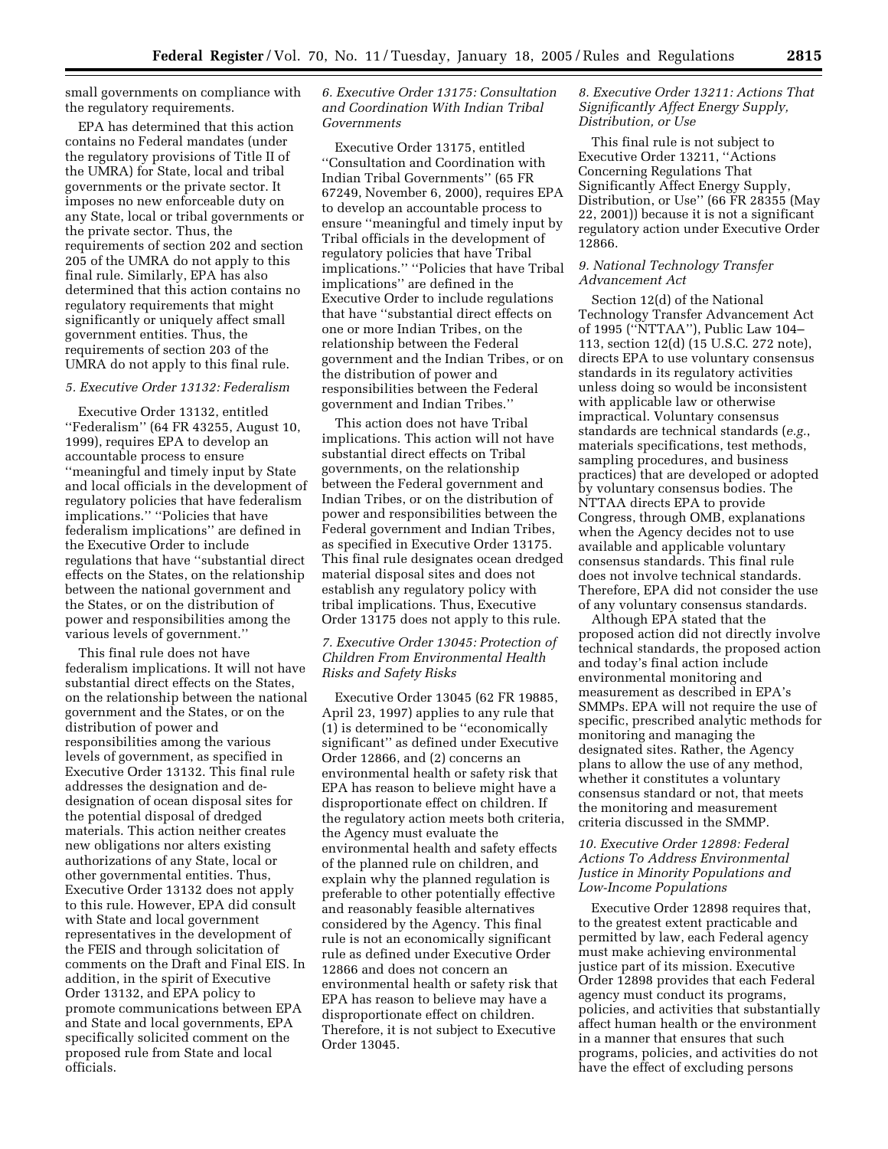small governments on compliance with the regulatory requirements.

EPA has determined that this action contains no Federal mandates (under the regulatory provisions of Title II of the UMRA) for State, local and tribal governments or the private sector. It imposes no new enforceable duty on any State, local or tribal governments or the private sector. Thus, the requirements of section 202 and section 205 of the UMRA do not apply to this final rule. Similarly, EPA has also determined that this action contains no regulatory requirements that might significantly or uniquely affect small government entities. Thus, the requirements of section 203 of the UMRA do not apply to this final rule.

### *5. Executive Order 13132: Federalism*

Executive Order 13132, entitled ''Federalism'' (64 FR 43255, August 10, 1999), requires EPA to develop an accountable process to ensure ''meaningful and timely input by State and local officials in the development of regulatory policies that have federalism implications.'' ''Policies that have federalism implications'' are defined in the Executive Order to include regulations that have ''substantial direct effects on the States, on the relationship between the national government and the States, or on the distribution of power and responsibilities among the various levels of government.''

This final rule does not have federalism implications. It will not have substantial direct effects on the States, on the relationship between the national government and the States, or on the distribution of power and responsibilities among the various levels of government, as specified in Executive Order 13132. This final rule addresses the designation and dedesignation of ocean disposal sites for the potential disposal of dredged materials. This action neither creates new obligations nor alters existing authorizations of any State, local or other governmental entities. Thus, Executive Order 13132 does not apply to this rule. However, EPA did consult with State and local government representatives in the development of the FEIS and through solicitation of comments on the Draft and Final EIS. In addition, in the spirit of Executive Order 13132, and EPA policy to promote communications between EPA and State and local governments, EPA specifically solicited comment on the proposed rule from State and local officials.

# *6. Executive Order 13175: Consultation and Coordination With Indian Tribal Governments*

Executive Order 13175, entitled ''Consultation and Coordination with Indian Tribal Governments'' (65 FR 67249, November 6, 2000), requires EPA to develop an accountable process to ensure ''meaningful and timely input by Tribal officials in the development of regulatory policies that have Tribal implications.'' ''Policies that have Tribal implications'' are defined in the Executive Order to include regulations that have ''substantial direct effects on one or more Indian Tribes, on the relationship between the Federal government and the Indian Tribes, or on the distribution of power and responsibilities between the Federal government and Indian Tribes.''

This action does not have Tribal implications. This action will not have substantial direct effects on Tribal governments, on the relationship between the Federal government and Indian Tribes, or on the distribution of power and responsibilities between the Federal government and Indian Tribes, as specified in Executive Order 13175. This final rule designates ocean dredged material disposal sites and does not establish any regulatory policy with tribal implications. Thus, Executive Order 13175 does not apply to this rule.

## *7. Executive Order 13045: Protection of Children From Environmental Health Risks and Safety Risks*

Executive Order 13045 (62 FR 19885, April 23, 1997) applies to any rule that (1) is determined to be ''economically significant'' as defined under Executive Order 12866, and (2) concerns an environmental health or safety risk that EPA has reason to believe might have a disproportionate effect on children. If the regulatory action meets both criteria, the Agency must evaluate the environmental health and safety effects of the planned rule on children, and explain why the planned regulation is preferable to other potentially effective and reasonably feasible alternatives considered by the Agency. This final rule is not an economically significant rule as defined under Executive Order 12866 and does not concern an environmental health or safety risk that EPA has reason to believe may have a disproportionate effect on children. Therefore, it is not subject to Executive Order 13045.

### *8. Executive Order 13211: Actions That Significantly Affect Energy Supply, Distribution, or Use*

This final rule is not subject to Executive Order 13211, ''Actions Concerning Regulations That Significantly Affect Energy Supply, Distribution, or Use'' (66 FR 28355 (May 22, 2001)) because it is not a significant regulatory action under Executive Order 12866.

## *9. National Technology Transfer Advancement Act*

Section 12(d) of the National Technology Transfer Advancement Act of 1995 (''NTTAA''), Public Law 104– 113, section 12(d) (15 U.S.C. 272 note), directs EPA to use voluntary consensus standards in its regulatory activities unless doing so would be inconsistent with applicable law or otherwise impractical. Voluntary consensus standards are technical standards (*e.g.*, materials specifications, test methods, sampling procedures, and business practices) that are developed or adopted by voluntary consensus bodies. The NTTAA directs EPA to provide Congress, through OMB, explanations when the Agency decides not to use available and applicable voluntary consensus standards. This final rule does not involve technical standards. Therefore, EPA did not consider the use of any voluntary consensus standards.

Although EPA stated that the proposed action did not directly involve technical standards, the proposed action and today's final action include environmental monitoring and measurement as described in EPA's SMMPs. EPA will not require the use of specific, prescribed analytic methods for monitoring and managing the designated sites. Rather, the Agency plans to allow the use of any method, whether it constitutes a voluntary consensus standard or not, that meets the monitoring and measurement criteria discussed in the SMMP.

# *10. Executive Order 12898: Federal Actions To Address Environmental Justice in Minority Populations and Low-Income Populations*

Executive Order 12898 requires that, to the greatest extent practicable and permitted by law, each Federal agency must make achieving environmental justice part of its mission. Executive Order 12898 provides that each Federal agency must conduct its programs, policies, and activities that substantially affect human health or the environment in a manner that ensures that such programs, policies, and activities do not have the effect of excluding persons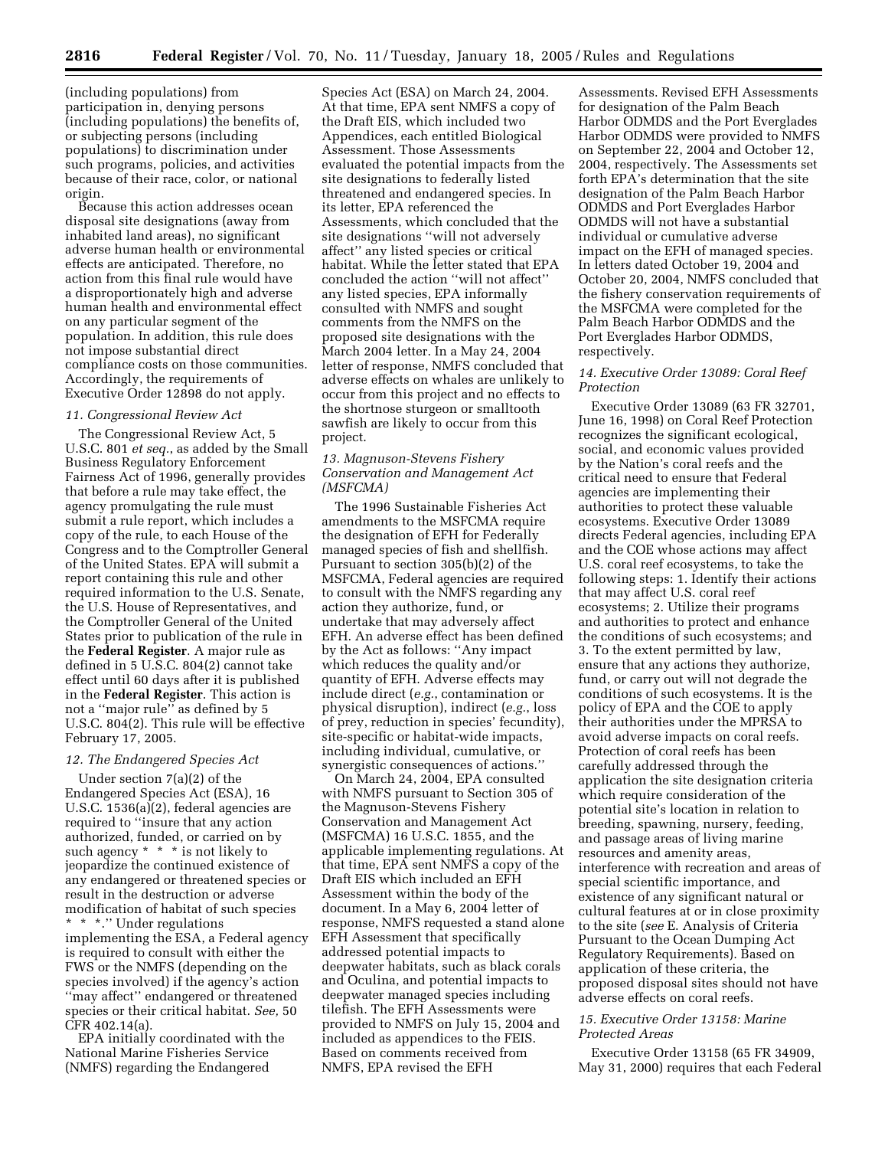(including populations) from participation in, denying persons (including populations) the benefits of, or subjecting persons (including populations) to discrimination under such programs, policies, and activities because of their race, color, or national origin.

Because this action addresses ocean disposal site designations (away from inhabited land areas), no significant adverse human health or environmental effects are anticipated. Therefore, no action from this final rule would have a disproportionately high and adverse human health and environmental effect on any particular segment of the population. In addition, this rule does not impose substantial direct compliance costs on those communities. Accordingly, the requirements of Executive Order 12898 do not apply.

# *11. Congressional Review Act*

The Congressional Review Act, 5 U.S.C. 801 *et seq.*, as added by the Small Business Regulatory Enforcement Fairness Act of 1996, generally provides that before a rule may take effect, the agency promulgating the rule must submit a rule report, which includes a copy of the rule, to each House of the Congress and to the Comptroller General of the United States. EPA will submit a report containing this rule and other required information to the U.S. Senate, the U.S. House of Representatives, and the Comptroller General of the United States prior to publication of the rule in the **Federal Register**. A major rule as defined in 5 U.S.C. 804(2) cannot take effect until 60 days after it is published in the **Federal Register**. This action is not a "major rule" as defined by 5 U.S.C. 804(2). This rule will be effective February 17, 2005.

### *12. The Endangered Species Act*

Under section 7(a)(2) of the Endangered Species Act (ESA), 16 U.S.C. 1536(a)(2), federal agencies are required to ''insure that any action authorized, funded, or carried on by such agency \* \* \* is not likely to jeopardize the continued existence of any endangered or threatened species or result in the destruction or adverse modification of habitat of such species \* \* \*.'' Under regulations implementing the ESA, a Federal agency is required to consult with either the FWS or the NMFS (depending on the species involved) if the agency's action ''may affect'' endangered or threatened species or their critical habitat. *See,* 50 CFR 402.14(a).

EPA initially coordinated with the National Marine Fisheries Service (NMFS) regarding the Endangered

Species Act (ESA) on March 24, 2004. At that time, EPA sent NMFS a copy of the Draft EIS, which included two Appendices, each entitled Biological Assessment. Those Assessments evaluated the potential impacts from the site designations to federally listed threatened and endangered species. In its letter, EPA referenced the Assessments, which concluded that the site designations ''will not adversely affect'' any listed species or critical habitat. While the letter stated that EPA concluded the action ''will not affect'' any listed species, EPA informally consulted with NMFS and sought comments from the NMFS on the proposed site designations with the March 2004 letter. In a May 24, 2004 letter of response, NMFS concluded that adverse effects on whales are unlikely to occur from this project and no effects to the shortnose sturgeon or smalltooth sawfish are likely to occur from this project.

### *13. Magnuson-Stevens Fishery Conservation and Management Act (MSFCMA)*

The 1996 Sustainable Fisheries Act amendments to the MSFCMA require the designation of EFH for Federally managed species of fish and shellfish. Pursuant to section 305(b)(2) of the MSFCMA, Federal agencies are required to consult with the NMFS regarding any action they authorize, fund, or undertake that may adversely affect EFH. An adverse effect has been defined by the Act as follows: ''Any impact which reduces the quality and/or quantity of EFH. Adverse effects may include direct (*e.g.*, contamination or physical disruption), indirect (*e.g.*, loss of prey, reduction in species' fecundity), site-specific or habitat-wide impacts, including individual, cumulative, or synergistic consequences of actions.''

On March 24, 2004, EPA consulted with NMFS pursuant to Section 305 of the Magnuson-Stevens Fishery Conservation and Management Act (MSFCMA) 16 U.S.C. 1855, and the applicable implementing regulations. At that time, EPA sent NMFS a copy of the Draft EIS which included an EFH Assessment within the body of the document. In a May 6, 2004 letter of response, NMFS requested a stand alone EFH Assessment that specifically addressed potential impacts to deepwater habitats, such as black corals and Oculina, and potential impacts to deepwater managed species including tilefish. The EFH Assessments were provided to NMFS on July 15, 2004 and included as appendices to the FEIS. Based on comments received from NMFS, EPA revised the EFH

Assessments. Revised EFH Assessments for designation of the Palm Beach Harbor ODMDS and the Port Everglades Harbor ODMDS were provided to NMFS on September 22, 2004 and October 12, 2004, respectively. The Assessments set forth EPA's determination that the site designation of the Palm Beach Harbor ODMDS and Port Everglades Harbor ODMDS will not have a substantial individual or cumulative adverse impact on the EFH of managed species. In letters dated October 19, 2004 and October 20, 2004, NMFS concluded that the fishery conservation requirements of the MSFCMA were completed for the Palm Beach Harbor ODMDS and the Port Everglades Harbor ODMDS, respectively.

### *14. Executive Order 13089: Coral Reef Protection*

Executive Order 13089 (63 FR 32701, June 16, 1998) on Coral Reef Protection recognizes the significant ecological, social, and economic values provided by the Nation's coral reefs and the critical need to ensure that Federal agencies are implementing their authorities to protect these valuable ecosystems. Executive Order 13089 directs Federal agencies, including EPA and the COE whose actions may affect U.S. coral reef ecosystems, to take the following steps: 1. Identify their actions that may affect U.S. coral reef ecosystems; 2. Utilize their programs and authorities to protect and enhance the conditions of such ecosystems; and 3. To the extent permitted by law, ensure that any actions they authorize, fund, or carry out will not degrade the conditions of such ecosystems. It is the policy of EPA and the COE to apply their authorities under the MPRSA to avoid adverse impacts on coral reefs. Protection of coral reefs has been carefully addressed through the application the site designation criteria which require consideration of the potential site's location in relation to breeding, spawning, nursery, feeding, and passage areas of living marine resources and amenity areas, interference with recreation and areas of special scientific importance, and existence of any significant natural or cultural features at or in close proximity to the site (*see* E. Analysis of Criteria Pursuant to the Ocean Dumping Act Regulatory Requirements). Based on application of these criteria, the proposed disposal sites should not have adverse effects on coral reefs.

## *15. Executive Order 13158: Marine Protected Areas*

Executive Order 13158 (65 FR 34909, May 31, 2000) requires that each Federal